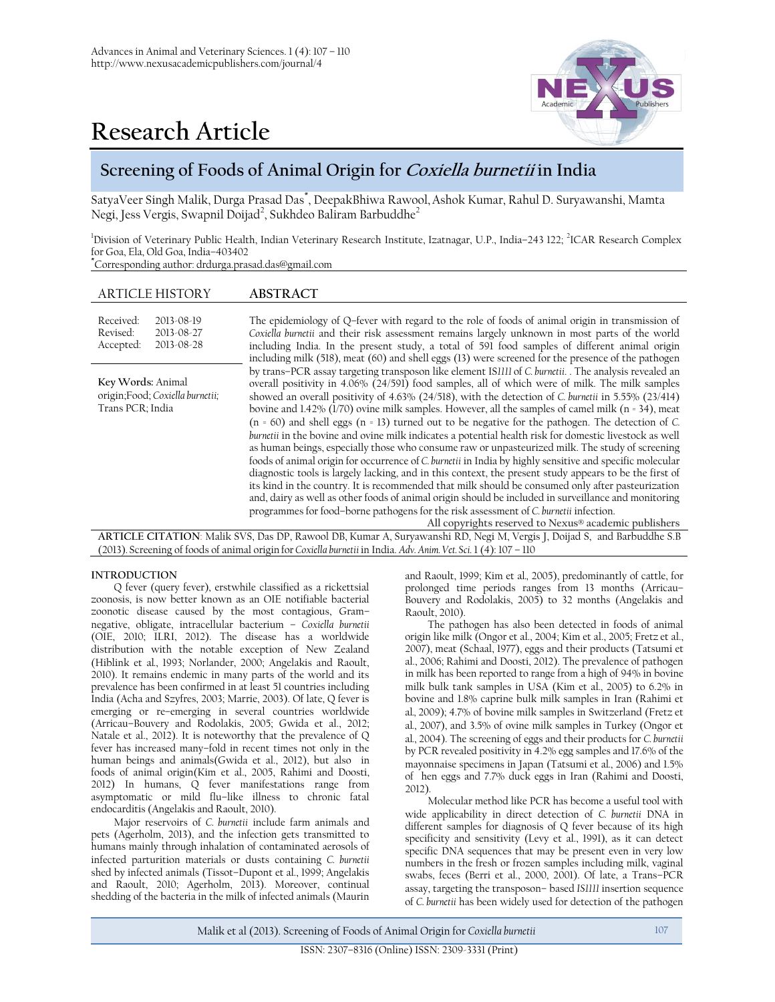

# **Research Article**

# **Screening of Foods of Animal Origin for Coxiella burnetii in India**

SatyaVeer Singh Malik, Durga Prasad Das\* , DeepakBhiwa Rawool,Ashok Kumar, Rahul D. Suryawanshi, Mamta Negi, Jess Vergis, Swapnil Doijad<sup>2</sup>, Sukhdeo Baliram Barbuddhe<sup>2</sup>

<sup>1</sup>Division of Veterinary Public Health, Indian Veterinary Research Institute, Izatnagar, U.P., India–243 122; <sup>2</sup>ICAR Research Complex for Goa, Ela, Old Goa, India–403402

**\***Corresponding author: drdurga.prasad.das@gmail.com

| <b>ARTICLE HISTORY</b>                                                                                                 | <b>ABSTRACT</b>                                                                                                                                                                                                                                                                                                                                                                                                                                                                                                                                                                                                                                                                                                                                                                                                                                                                                                                                                                                                                                                                                                                                                                                                                                                                                                                |  |  |  |
|------------------------------------------------------------------------------------------------------------------------|--------------------------------------------------------------------------------------------------------------------------------------------------------------------------------------------------------------------------------------------------------------------------------------------------------------------------------------------------------------------------------------------------------------------------------------------------------------------------------------------------------------------------------------------------------------------------------------------------------------------------------------------------------------------------------------------------------------------------------------------------------------------------------------------------------------------------------------------------------------------------------------------------------------------------------------------------------------------------------------------------------------------------------------------------------------------------------------------------------------------------------------------------------------------------------------------------------------------------------------------------------------------------------------------------------------------------------|--|--|--|
| Received:<br>2013-08-19<br>Revised:<br>2013-08-27<br>Accepted:<br>2013-08-28                                           | The epidemiology of Q-fever with regard to the role of foods of animal origin in transmission of<br>Coxiella burnetii and their risk assessment remains largely unknown in most parts of the world<br>including India. In the present study, a total of 591 food samples of different animal origin<br>including milk (518), meat (60) and shell eggs (13) were screened for the presence of the pathogen                                                                                                                                                                                                                                                                                                                                                                                                                                                                                                                                                                                                                                                                                                                                                                                                                                                                                                                      |  |  |  |
| Key Words: Animal<br>origin;Food; Coxiella burnetii;<br>Trans PCR; India                                               | by trans-PCR assay targeting transposon like element IS1111 of C. burnetii. . The analysis revealed an<br>overall positivity in 4.06% (24/591) food samples, all of which were of milk. The milk samples<br>showed an overall positivity of 4.63% (24/518), with the detection of C. burnetii in 5.55% (23/414)<br>bovine and 1.42% (1/70) ovine milk samples. However, all the samples of camel milk (n = 34), meat<br>$(n = 60)$ and shell eggs $(n = 13)$ turned out to be negative for the pathogen. The detection of C.<br>burnetii in the bovine and ovine milk indicates a potential health risk for domestic livestock as well<br>as human beings, especially those who consume raw or unpasteurized milk. The study of screening<br>foods of animal origin for occurrence of C. burnetii in India by highly sensitive and specific molecular<br>diagnostic tools is largely lacking, and in this context, the present study appears to be the first of<br>its kind in the country. It is recommended that milk should be consumed only after pasteurization<br>and, dairy as well as other foods of animal origin should be included in surveillance and monitoring<br>programmes for food-borne pathogens for the risk assessment of C. burnetii infection.<br>All copyrights reserved to Nexus® academic publishers |  |  |  |
| ARTICLE CITATION: Malik SVS, Das DP, Rawool DB, Kumar A, Suryawanshi RD, Negi M, Vergis J, Doijad S, and Barbuddhe S.B |                                                                                                                                                                                                                                                                                                                                                                                                                                                                                                                                                                                                                                                                                                                                                                                                                                                                                                                                                                                                                                                                                                                                                                                                                                                                                                                                |  |  |  |
| (2013). Screening of foods of animal origin for Coxiella burnetii in India. Adv. Anim. Vet. Sci. 1 (4): 107 - 110      |                                                                                                                                                                                                                                                                                                                                                                                                                                                                                                                                                                                                                                                                                                                                                                                                                                                                                                                                                                                                                                                                                                                                                                                                                                                                                                                                |  |  |  |
|                                                                                                                        |                                                                                                                                                                                                                                                                                                                                                                                                                                                                                                                                                                                                                                                                                                                                                                                                                                                                                                                                                                                                                                                                                                                                                                                                                                                                                                                                |  |  |  |

# **INTRODUCTION**

Q fever (query fever), erstwhile classified as a rickettsial zoonosis, is now better known as an OIE notifiable bacterial zoonotic disease caused by the most contagious, Gram– negative, obligate, intracellular bacterium – *Coxiella burnetii* (OIE, 2010; ILRI, 2012). The disease has a worldwide distribution with the notable exception of New Zealand (Hiblink et al*.*, 1993; Norlander, 2000; Angelakis and Raoult, 2010). It remains endemic in many parts of the world and its prevalence has been confirmed in at least 51 countries including India (Acha and Szyfres, 2003; Marrie, 2003). Of late, Q fever is emerging or re–emerging in several countries worldwide (Arricau–Bouvery and Rodolakis, 2005; Gwida et al., 2012; Natale et al., 2012). It is noteworthy that the prevalence of Q fever has increased many–fold in recent times not only in the human beings and animals(Gwida et al., 2012), but also in foods of animal origin(Kim et al., 2005, Rahimi and Doosti, 2012) In humans, Q fever manifestations range from asymptomatic or mild flu–like illness to chronic fatal endocarditis (Angelakis and Raoult, 2010).

Major reservoirs of *C. burnetii* include farm animals and pets (Agerholm, 2013), and the infection gets transmitted to humans mainly through inhalation of contaminated aerosols of infected parturition materials or dusts containing *C. burnetii* shed by infected animals (Tissot–Dupont et al., 1999; Angelakis and Raoult, 2010; Agerholm, 2013). Moreover, continual shedding of the bacteria in the milk of infected animals (Maurin

and Raoult, 1999; Kim et al*.,* 2005), predominantly of cattle, for prolonged time periods ranges from 13 months (Arricau– Bouvery and Rodolakis, 2005) to 32 months (Angelakis and Raoult, 2010).

The pathogen has also been detected in foods of animal origin like milk (Ongor et al., 2004; Kim et al., 2005; Fretz et al., 2007), meat (Schaal, 1977), eggs and their products (Tatsumi et al., 2006; Rahimi and Doosti, 2012). The prevalence of pathogen in milk has been reported to range from a high of 94% in bovine milk bulk tank samples in USA (Kim et al*.*, 2005) to 6.2% in bovine and 1.8% caprine bulk milk samples in Iran (Rahimi et al*.,* 2009); 4.7% of bovine milk samples in Switzerland (Fretz et al*.*, 2007), and 3.5% of ovine milk samples in Turkey (Ongor et al*.*, 2004). The screening of eggs and their products for *C. burnetii*  by PCR revealed positivity in 4.2% egg samples and 17.6% of the mayonnaise specimens in Japan (Tatsumi et al*.*, 2006) and 1.5% of hen eggs and 7.7% duck eggs in Iran (Rahimi and Doosti, 2012)

Molecular method like PCR has become a useful tool with wide applicability in direct detection of *C. burnetii* DNA in different samples for diagnosis of Q fever because of its high specificity and sensitivity (Levy et al., 1991), as it can detect specific DNA sequences that may be present even in very low numbers in the fresh or frozen samples including milk, vaginal swabs, feces (Berri et al., 2000, 2001). Of late, a Trans–PCR assay, targeting the transposon– based *IS1111* insertion sequence of *C. burnetii* has been widely used for detection of the pathogen

Malik et al (2013). Screening of Foods of Animal Origin for *Coxiella burnetii* 107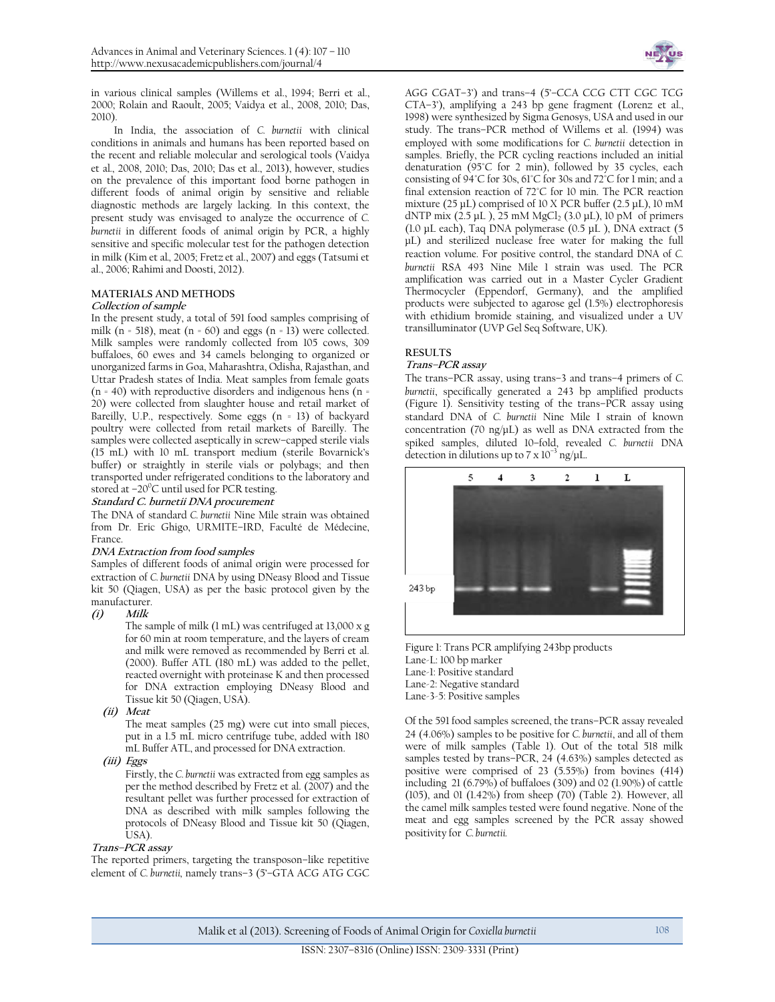in various clinical samples (Willems et al., 1994; Berri et al., 2000; Rolain and Raoult, 2005; Vaidya et al., 2008, 2010; Das, 2010).

In India, the association of *C. burnetii* with clinical conditions in animals and humans has been reported based on the recent and reliable molecular and serological tools (Vaidya et al*.*, 2008, 2010; Das, 2010; Das et al., 2013), however, studies on the prevalence of this important food borne pathogen in different foods of animal origin by sensitive and reliable diagnostic methods are largely lacking. In this context, the present study was envisaged to analyze the occurrence of *C. burnetii* in different foods of animal origin by PCR, a highly sensitive and specific molecular test for the pathogen detection in milk (Kim et al*.,* 2005; Fretz et al., 2007) and eggs (Tatsumi et al., 2006; Rahimi and Doosti, 2012).

### **MATERIALS AND METHODS**

#### **Collection of sample**

In the present study, a total of 591 food samples comprising of milk ( $n = 518$ ), meat ( $n = 60$ ) and eggs ( $n = 13$ ) were collected. Milk samples were randomly collected from 105 cows, 309 buffaloes, 60 ewes and 34 camels belonging to organized or unorganized farms in Goa, Maharashtra, Odisha, Rajasthan, and Uttar Pradesh states of India. Meat samples from female goats  $(n = 40)$  with reproductive disorders and indigenous hens  $(n = 40)$ 20) were collected from slaughter house and retail market of Bareilly, U.P., respectively. Some eggs (n = 13) of backyard poultry were collected from retail markets of Bareilly. The samples were collected aseptically in screw–capped sterile vials (15 mL) with 10 mL transport medium (sterile Bovarnick's buffer) or straightly in sterile vials or polybags; and then transported under refrigerated conditions to the laboratory and stored at  $-20^{\circ}$ C until used for PCR testing.

#### **Standard C. burnetii DNA procurement**

The DNA of standard *C. burnetii* Nine Mile strain was obtained from Dr. Eric Ghigo, URMITE–IRD, Faculté de Médecine, France.

#### **DNA Extraction from food samples**

Samples of different foods of animal origin were processed for extraction of *C. burnetii* DNA by using DNeasy Blood and Tissue kit 50 (Qiagen, USA) as per the basic protocol given by the manufacturer.

#### **(i) Milk**

The sample of milk (1 mL) was centrifuged at 13,000 x g for 60 min at room temperature, and the layers of cream and milk were removed as recommended by Berri et al. (2000). Buffer ATL (180 mL) was added to the pellet, reacted overnight with proteinase K and then processed for DNA extraction employing DNeasy Blood and Tissue kit 50 (Qiagen, USA).

**(ii) Meat**

The meat samples (25 mg) were cut into small pieces, put in a 1.5 mL micro centrifuge tube, added with 180 mL Buffer ATL, and processed for DNA extraction.

**(iii) Eggs**

Firstly, the *C. burnetii* was extracted from egg samples as per the method described by Fretz et al. (2007) and the resultant pellet was further processed for extraction of DNA as described with milk samples following the protocols of DNeasy Blood and Tissue kit 50 (Qiagen, USA).

#### **Trans–PCR assay**

The reported primers, targeting the transposon–like repetitive element of *C. burnetii,* namely trans–3 (5'–GTA ACG ATG CGC



AGG CGAT–3') and trans–4 (5'–CCA CCG CTT CGC TCG CTA–3'), amplifying a 243 bp gene fragment (Lorenz et al., 1998) were synthesized by Sigma Genosys, USA and used in our study. The trans–PCR method of Willems et al. (1994) was employed with some modifications for *C. burnetii* detection in samples. Briefly, the PCR cycling reactions included an initial denaturation (95°C for 2 min), followed by 35 cycles, each consisting of 94°C for 30s, 61°C for 30s and 72°C for 1 min; and a final extension reaction of 72°C for 10 min. The PCR reaction mixture (25 μL) comprised of 10 X PCR buffer (2.5 μL), 10 mM dNTP mix (2.5 μL), 25 mM MgCl<sub>2</sub> (3.0 μL), 10 pM of primers (1.0 μL each), Taq DNA polymerase (0.5 μL ), DNA extract (5 μL) and sterilized nuclease free water for making the full reaction volume. For positive control, the standard DNA of *C. burnetii* RSA 493 Nine Mile 1 strain was used. The PCR amplification was carried out in a Master Cycler Gradient Thermocycler (Eppendorf, Germany), and the amplified products were subjected to agarose gel (1.5%) electrophoresis with ethidium bromide staining, and visualized under a UV transilluminator (UVP Gel Seq Software, UK).

# **RESULTS**

## **Trans–PCR assay**

The trans–PCR assay, using trans–3 and trans–4 primers of *C. burnetii*, specifically generated a 243 bp amplified products (Figure 1). Sensitivity testing of the trans–PCR assay using standard DNA of *C. burnetii* Nine Mile I strain of known concentration (70 ng/μL) as well as DNA extracted from the spiked samples, diluted 10–fold, revealed *C. burnetii* DNA detection in dilutions up to 7 x  $10^{-3}$  ng/µL.



Figure 1: Trans PCR amplifying 243bp products Lane-L: 100 bp marker Lane-1: Positive standard Lane-2: Negative standard Lane-3-5: Positive samples

Of the 591 food samples screened, the trans–PCR assay revealed 24 (4.06%) samples to be positive for *C. burnetii*, and all of them were of milk samples (Table 1). Out of the total 518 milk samples tested by trans–PCR, 24 (4.63%) samples detected as positive were comprised of 23 (5.55%) from bovines (414) including 21 (6.79%) of buffaloes (309) and 02 (1.90%) of cattle (105), and 01 (1.42%) from sheep (70) (Table 2). However, all the camel milk samples tested were found negative. None of the meat and egg samples screened by the PCR assay showed positivity for *C. burnetii.*

Malik et al (2013). Screening of Foods of Animal Origin for *Coxiella burnetii* 108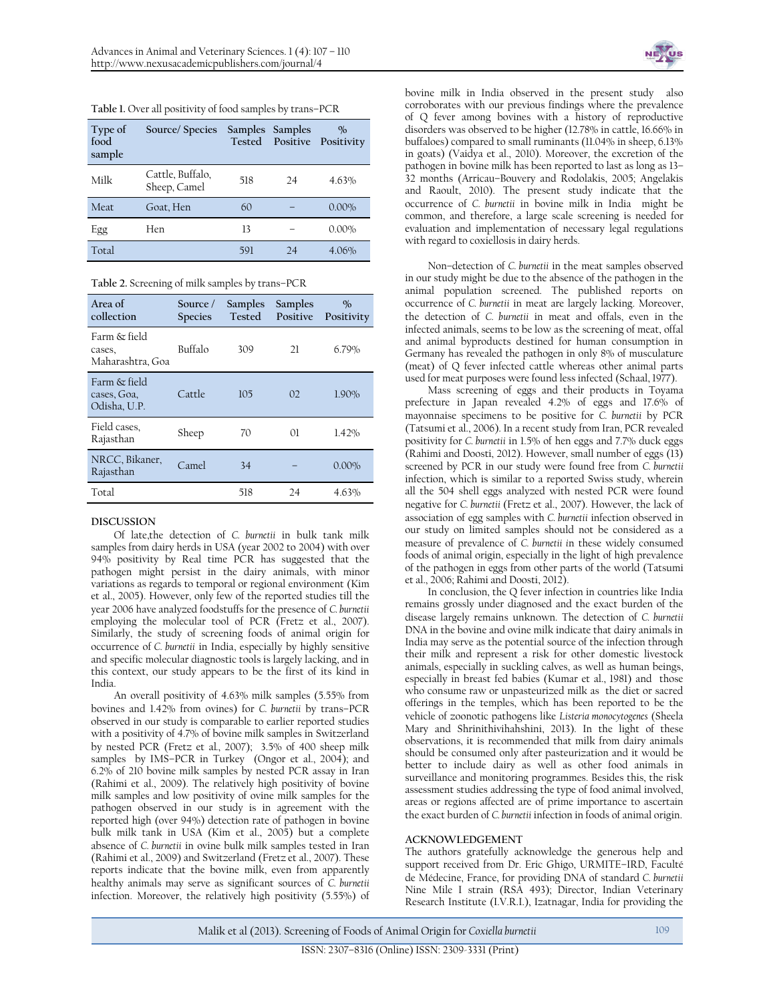| Table 1. Over all positivity of food samples by trans-PCR |  |  |  |
|-----------------------------------------------------------|--|--|--|
|-----------------------------------------------------------|--|--|--|

| Type of<br>food<br>sample | Source/Species                   | Samples Samples |    | $\frac{O}{O}$<br>Tested Positive Positivity |
|---------------------------|----------------------------------|-----------------|----|---------------------------------------------|
| Milk                      | Cattle, Buffalo,<br>Sheep, Camel | 518             | 24 | 4.63%                                       |
| Meat                      | Goat, Hen                        | 60              |    | $0.00\%$                                    |
| Egg                       | Hen                              | 13              |    | $0.00\%$                                    |
| Total                     |                                  | 591             | 24 | 4.06%                                       |

**Table 2.** Screening of milk samples by trans–PCR

| Area of<br>collection                       | Source /<br><b>Species</b> | Samples<br>Tested | Samples<br>Positive | $\%$<br>Positivity |
|---------------------------------------------|----------------------------|-------------------|---------------------|--------------------|
| Farm & field<br>cases,<br>Maharashtra, Goa  | Buffalo                    | 309               | 21                  | 6.79%              |
| Farm & field<br>cases, Goa,<br>Odisha. U.P. | Cattle                     | 105               | 02                  | 1.90%              |
| Field cases,<br>Rajasthan                   | Sheep                      | 70                | $\Omega$            | 1.42%              |
| NRCC, Bikaner,<br>Rajasthan                 | Camel                      | 34                |                     | $0.00\%$           |
| Total                                       |                            | 518               | 24                  | 4.63%              |

# **DISCUSSION**

Of late,the detection of *C. burnetii* in bulk tank milk samples from dairy herds in USA (year 2002 to 2004) with over 94% positivity by Real time PCR has suggested that the pathogen might persist in the dairy animals, with minor variations as regards to temporal or regional environment (Kim et al., 2005). However, only few of the reported studies till the year 2006 have analyzed foodstuffs for the presence of *C. burnetii*  employing the molecular tool of PCR (Fretz et al., 2007). Similarly, the study of screening foods of animal origin for occurrence of *C. burnetii* in India, especially by highly sensitive and specific molecular diagnostic tools is largely lacking, and in this context, our study appears to be the first of its kind in India.

An overall positivity of 4.63% milk samples (5.55% from bovines and 1.42% from ovines) for *C. burnetii* by trans–PCR observed in our study is comparable to earlier reported studies with a positivity of 4.7% of bovine milk samples in Switzerland by nested PCR (Fretz et al*.*, 2007); 3.5% of 400 sheep milk samples by IMS-PCR in Turkey (Ongor et al., 2004); and 6.2% of 210 bovine milk samples by nested PCR assay in Iran (Rahimi et al., 2009). The relatively high positivity of bovine milk samples and low positivity of ovine milk samples for the pathogen observed in our study is in agreement with the reported high (over 94%) detection rate of pathogen in bovine bulk milk tank in USA (Kim et al., 2005) but a complete absence of *C. burnetii* in ovine bulk milk samples tested in Iran (Rahimi et al., 2009) and Switzerland (Fretz et al., 2007). These reports indicate that the bovine milk, even from apparently healthy animals may serve as significant sources of *C. burnetii* infection. Moreover, the relatively high positivity (5.55%) of



bovine milk in India observed in the present study also corroborates with our previous findings where the prevalence of Q fever among bovines with a history of reproductive disorders was observed to be higher (12.78% in cattle, 16.66% in buffaloes) compared to small ruminants (11.04% in sheep, 6.13% in goats) (Vaidya et al., 2010). Moreover, the excretion of the pathogen in bovine milk has been reported to last as long as 13– 32 months (Arricau–Bouvery and Rodolakis, 2005; Angelakis and Raoult, 2010). The present study indicate that the occurrence of *C. burnetii* in bovine milk in India might be common, and therefore, a large scale screening is needed for evaluation and implementation of necessary legal regulations with regard to coxiellosis in dairy herds.

Non–detection of *C. burnetii* in the meat samples observed in our study might be due to the absence of the pathogen in the animal population screened. The published reports on occurrence of *C. burnetii* in meat are largely lacking. Moreover, the detection of *C. burnetii* in meat and offals, even in the infected animals, seems to be low as the screening of meat, offal and animal byproducts destined for human consumption in Germany has revealed the pathogen in only 8% of musculature (meat) of Q fever infected cattle whereas other animal parts used for meat purposes were found less infected (Schaal, 1977).

Mass screening of eggs and their products in Toyama prefecture in Japan revealed 4.2% of eggs and 17.6% of mayonnaise specimens to be positive for *C. burnetii* by PCR (Tatsumi et al., 2006). In a recent study from Iran, PCR revealed positivity for *C. burnetii* in 1.5% of hen eggs and 7.7% duck eggs (Rahimi and Doosti, 2012). However, small number of eggs (13) screened by PCR in our study were found free from *C. burnetii* infection, which is similar to a reported Swiss study, wherein all the 504 shell eggs analyzed with nested PCR were found negative for *C. burnetii* (Fretz et al., 2007). However, the lack of association of egg samples with *C. burnetii* infection observed in our study on limited samples should not be considered as a measure of prevalence of *C. burnetii i*n these widely consumed foods of animal origin, especially in the light of high prevalence of the pathogen in eggs from other parts of the world (Tatsumi et al., 2006; Rahimi and Doosti, 2012).

In conclusion, the Q fever infection in countries like India remains grossly under diagnosed and the exact burden of the disease largely remains unknown. The detection of *C. burnetii* DNA in the bovine and ovine milk indicate that dairy animals in India may serve as the potential source of the infection through their milk and represent a risk for other domestic livestock animals, especially in suckling calves, as well as human beings, especially in breast fed babies (Kumar et al., 1981) and those who consume raw or unpasteurized milk as the diet or sacred offerings in the temples, which has been reported to be the vehicle of zoonotic pathogens like *Listeria monocytogenes* (Sheela Mary and Shrinithivihahshini, 2013). In the light of these observations, it is recommended that milk from dairy animals should be consumed only after pasteurization and it would be better to include dairy as well as other food animals in surveillance and monitoring programmes. Besides this, the risk assessment studies addressing the type of food animal involved, areas or regions affected are of prime importance to ascertain the exact burden of *C. burnetii* infection in foods of animal origin.

#### **ACKNOWLEDGEMENT**

The authors gratefully acknowledge the generous help and support received from Dr. Eric Ghigo, URMITE–IRD, Faculté de Médecine, France, for providing DNA of standard *C. burnetii* Nine Mile I strain (RSA 493); Director, Indian Veterinary Research Institute (I.V.R.I.), Izatnagar, India for providing the

Malik et al (2013). Screening of Foods of Animal Origin for *Coxiella burnetii* 109